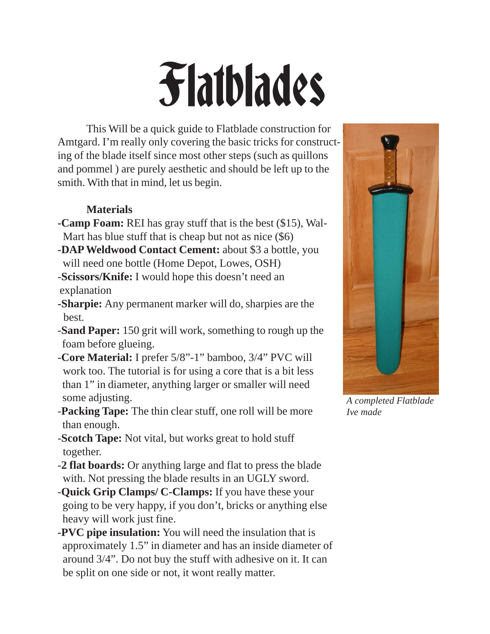# Flatblades

This Will be a quick guide to Flatblade construction for Amtgard. I'm really only covering the basic tricks for constructing of the blade itself since most other steps (such as quillons and pommel ) are purely aesthetic and should be left up to the smith. With that in mind, let us begin.

# **Materials**

- **-Camp Foam:** REI has gray stuff that is the best (\$15), Wal- Mart has blue stuff that is cheap but not as nice (\$6)
- **-DAP Weldwood Contact Cement:** about \$3 a bottle, you will need one bottle (Home Depot, Lowes, OSH)
- -**Scissors/Knife:** I would hope this doesn't need an explanation
- **-Sharpie:** Any permanent marker will do, sharpies are the best.
- -**Sand Paper:** 150 grit will work, something to rough up the foam before glueing.
- -**Core Material:** I prefer 5/8"-1" bamboo, 3/4" PVC will work too. The tutorial is for using a core that is a bit less than 1" in diameter, anything larger or smaller will need some adjusting.
- -**Packing Tape:** The thin clear stuff, one roll will be more than enough.
- -**Scotch Tape:** Not vital, but works great to hold stuff together.
- -**2 flat boards:** Or anything large and flat to press the blade with. Not pressing the blade results in an UGLY sword.
- -**Quick Grip Clamps/ C-Clamps:** If you have these your going to be very happy, if you don't, bricks or anything else heavy will work just fine.
- **-PVC pipe insulation:** You will need the insulation that is approximately 1.5" in diameter and has an inside diameter of around 3/4". Do not buy the stuff with adhesive on it. It can be split on one side or not, it wont really matter.



*A completed Flatblade Ive made*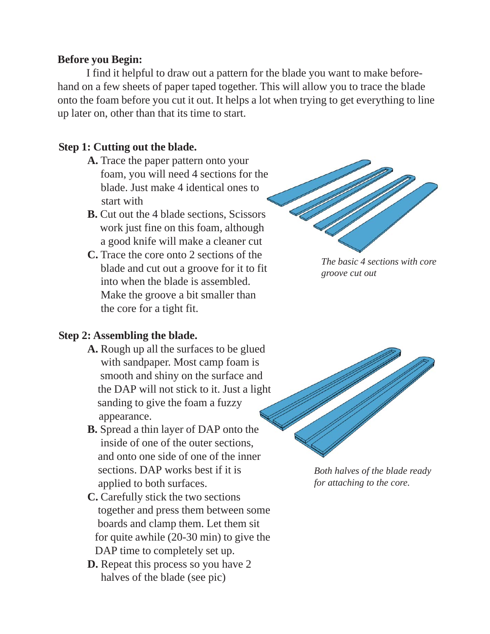#### **Before you Begin:**

I find it helpful to draw out a pattern for the blade you want to make beforehand on a few sheets of paper taped together. This will allow you to trace the blade onto the foam before you cut it out. It helps a lot when trying to get everything to line up later on, other than that its time to start.

# **Step 1: Cutting out the blade.**

- **A.** Trace the paper pattern onto your foam, you will need 4 sections for the blade. Just make 4 identical ones to start with
- **B.** Cut out the 4 blade sections, Scissors work just fine on this foam, although a good knife will make a cleaner cut
- **C.** Trace the core onto 2 sections of the blade and cut out a groove for it to fit into when the blade is assembled. Make the groove a bit smaller than the core for a tight fit.

# **Step 2: Assembling the blade.**

- **A.** Rough up all the surfaces to be glued with sandpaper. Most camp foam is smooth and shiny on the surface and the DAP will not stick to it. Just a light sanding to give the foam a fuzzy appearance.
- **B.** Spread a thin layer of DAP onto the inside of one of the outer sections, and onto one side of one of the inner sections. DAP works best if it is applied to both surfaces.
- **C.** Carefully stick the two sections together and press them between some boards and clamp them. Let them sit for quite awhile (20-30 min) to give the DAP time to completely set up.
- **D.** Repeat this process so you have 2 halves of the blade (see pic)

*The basic 4 sections with core groove cut out*



*Both halves of the blade ready for attaching to the core.*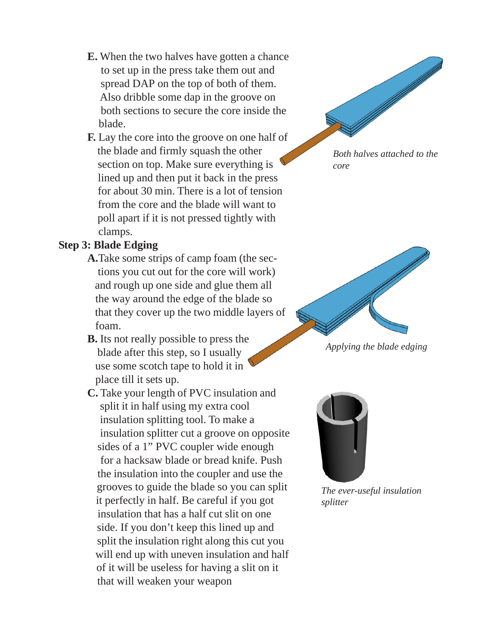- **E.** When the two halves have gotten a chance to set up in the press take them out and spread DAP on the top of both of them. Also dribble some dap in the groove on both sections to secure the core inside the blade.
- **F.** Lay the core into the groove on one half of the blade and firmly squash the other section on top. Make sure everything is lined up and then put it back in the press for about 30 min. There is a lot of tension from the core and the blade will want to poll apart if it is not pressed tightly with clamps.

# **Step 3: Blade Edging**

- **A.**Take some strips of camp foam (the sec tions you cut out for the core will work) and rough up one side and glue them all the way around the edge of the blade so that they cover up the two middle layers of foam.
- **B.** Its not really possible to press the blade after this step, so I usually use some scotch tape to hold it in place till it sets up.
- **C.** Take your length of PVC insulation and split it in half using my extra cool insulation splitting tool. To make a insulation splitter cut a groove on opposite sides of a 1" PVC coupler wide enough for a hacksaw blade or bread knife. Push the insulation into the coupler and use the grooves to guide the blade so you can split it perfectly in half. Be careful if you got insulation that has a half cut slit on one side. If you don't keep this lined up and split the insulation right along this cut you will end up with uneven insulation and half of it will be useless for having a slit on it that will weaken your weapon



*Both halves attached to the core*



*Applying the blade edging*



*The ever-useful insulation splitter*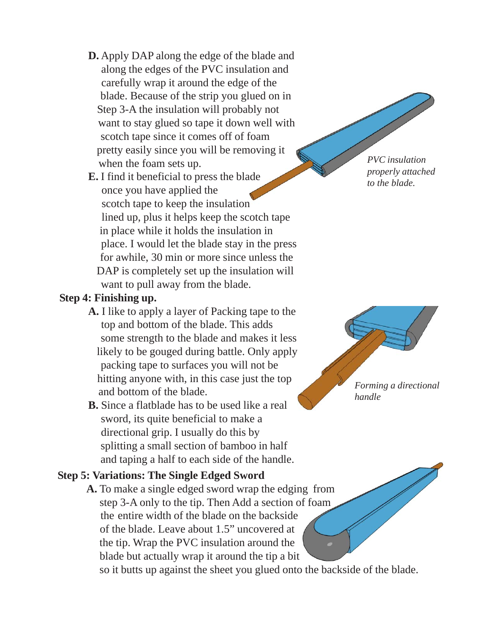- **D.** Apply DAP along the edge of the blade and along the edges of the PVC insulation and carefully wrap it around the edge of the blade. Because of the strip you glued on in Step 3-A the insulation will probably not want to stay glued so tape it down well with scotch tape since it comes off of foam pretty easily since you will be removing it when the foam sets up.
- **E.** I find it beneficial to press the blade once you have applied the scotch tape to keep the insulation lined up, plus it helps keep the scotch tape in place while it holds the insulation in place. I would let the blade stay in the press for awhile, 30 min or more since unless the DAP is completely set up the insulation will want to pull away from the blade.

#### **Step 4: Finishing up.**

- **A.** I like to apply a layer of Packing tape to the top and bottom of the blade. This adds some strength to the blade and makes it less likely to be gouged during battle. Only apply packing tape to surfaces you will not be hitting anyone with, in this case just the top and bottom of the blade.
- **B.** Since a flatblade has to be used like a real sword, its quite beneficial to make a directional grip. I usually do this by splitting a small section of bamboo in half and taping a half to each side of the handle.

#### **Step 5: Variations: The Single Edged Sword**

**A.** To make a single edged sword wrap the edging from step 3-A only to the tip. Then Add a section of foam the entire width of the blade on the backside of the blade. Leave about 1.5" uncovered at the tip. Wrap the PVC insulation around the blade but actually wrap it around the tip a bit

so it butts up against the sheet you glued onto the backside of the blade.

*PVC insulation properly attached to the blade.*